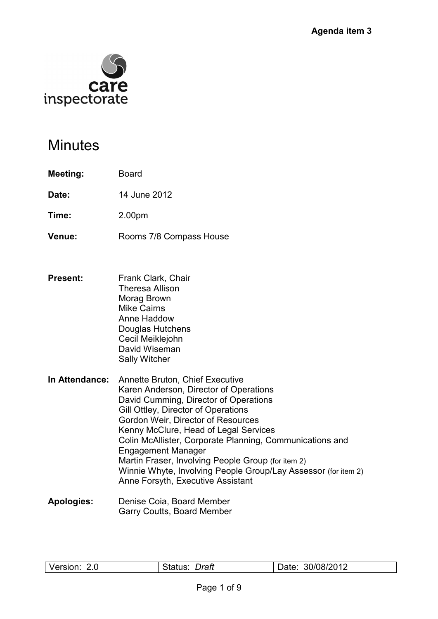

# **Minutes**

- **Meeting:** Board
- **Date:** 14 June 2012
- **Time:** 2.00pm
- **Venue:** Rooms 7/8 Compass House
- **Present:** Frank Clark, Chair Theresa Allison Morag Brown Mike Cairns Anne Haddow Douglas Hutchens Cecil Meiklejohn David Wiseman Sally Witcher
- **In Attendance:** Annette Bruton, Chief Executive Karen Anderson, Director of Operations David Cumming, Director of Operations Gill Ottley, Director of Operations Gordon Weir, Director of Resources Kenny McClure, Head of Legal Services Colin McAllister, Corporate Planning, Communications and Engagement Manager Martin Fraser, Involving People Group (for item 2) Winnie Whyte, Involving People Group/Lay Assessor (for item 2) Anne Forsyth, Executive Assistant
- **Apologies:** Denise Coia, Board Member Garry Coutts, Board Member

| Version: | Draft   | 30/08/2012 |
|----------|---------|------------|
| 2.0      | Status: | Date:      |
|          |         |            |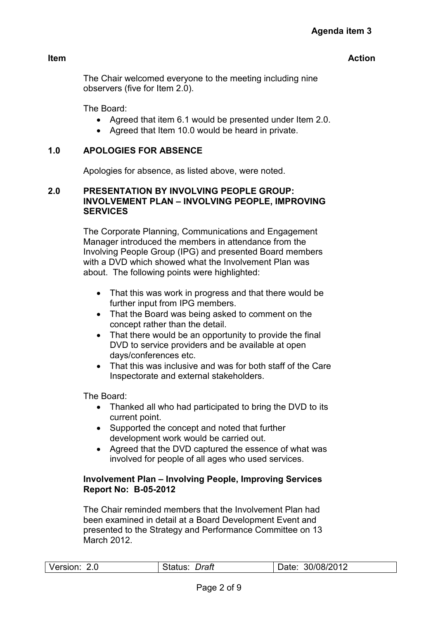**Item** 

The Chair welcomed everyone to the meeting including nine observers (five for Item 2.0).

The Board:

- Agreed that item 6.1 would be presented under Item 2.0.
- Agreed that Item 10.0 would be heard in private.

# **1.0 APOLOGIES FOR ABSENCE**

Apologies for absence, as listed above, were noted.

# **2.0 PRESENTATION BY INVOLVING PEOPLE GROUP: INVOLVEMENT PLAN – INVOLVING PEOPLE, IMPROVING SERVICES**

The Corporate Planning, Communications and Engagement Manager introduced the members in attendance from the Involving People Group (IPG) and presented Board members with a DVD which showed what the Involvement Plan was about. The following points were highlighted:

- That this was work in progress and that there would be further input from IPG members.
- That the Board was being asked to comment on the concept rather than the detail.
- That there would be an opportunity to provide the final DVD to service providers and be available at open days/conferences etc.
- That this was inclusive and was for both staff of the Care Inspectorate and external stakeholders.

The Board:

- Thanked all who had participated to bring the DVD to its current point.
- Supported the concept and noted that further development work would be carried out.
- Agreed that the DVD captured the essence of what was involved for people of all ages who used services.

# **Involvement Plan – Involving People, Improving Services Report No: B-05-2012**

The Chair reminded members that the Involvement Plan had been examined in detail at a Board Development Event and presented to the Strategy and Performance Committee on 13 March 2012.

| Version: 2.0 | Draft<br>Status: | 30/08/2012<br>Date: |
|--------------|------------------|---------------------|
|              |                  |                     |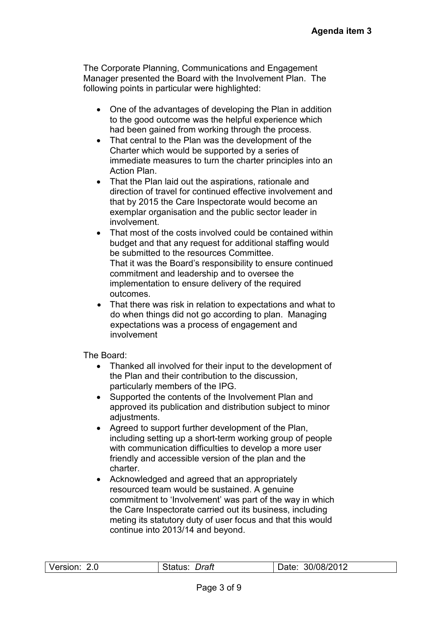The Corporate Planning, Communications and Engagement Manager presented the Board with the Involvement Plan. The following points in particular were highlighted:

- One of the advantages of developing the Plan in addition to the good outcome was the helpful experience which had been gained from working through the process.
- That central to the Plan was the development of the Charter which would be supported by a series of immediate measures to turn the charter principles into an Action Plan.
- That the Plan laid out the aspirations, rationale and direction of travel for continued effective involvement and that by 2015 the Care Inspectorate would become an exemplar organisation and the public sector leader in involvement.
- That most of the costs involved could be contained within budget and that any request for additional staffing would be submitted to the resources Committee. That it was the Board's responsibility to ensure continued commitment and leadership and to oversee the implementation to ensure delivery of the required outcomes.
- That there was risk in relation to expectations and what to do when things did not go according to plan. Managing expectations was a process of engagement and involvement

The Board:

- Thanked all involved for their input to the development of the Plan and their contribution to the discussion, particularly members of the IPG.
- Supported the contents of the Involvement Plan and approved its publication and distribution subject to minor adjustments.
- Agreed to support further development of the Plan, including setting up a short-term working group of people with communication difficulties to develop a more user friendly and accessible version of the plan and the charter.
- Acknowledged and agreed that an appropriately resourced team would be sustained. A genuine commitment to 'Involvement' was part of the way in which the Care Inspectorate carried out its business, including meting its statutory duty of user focus and that this would continue into 2013/14 and beyond.

| Version: 2.0 | Draft<br>status: | 30/08/2012<br>Date: |
|--------------|------------------|---------------------|
|              |                  |                     |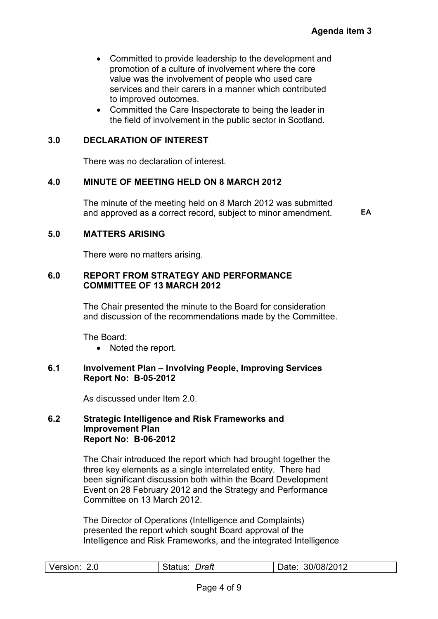- Committed to provide leadership to the development and promotion of a culture of involvement where the core value was the involvement of people who used care services and their carers in a manner which contributed to improved outcomes.
- Committed the Care Inspectorate to being the leader in the field of involvement in the public sector in Scotland.

# **3.0 DECLARATION OF INTEREST**

There was no declaration of interest.

#### **4.0 MINUTE OF MEETING HELD ON 8 MARCH 2012**

 The minute of the meeting held on 8 March 2012 was submitted and approved as a correct record, subject to minor amendment. **EA** 

#### **5.0 MATTERS ARISING**

There were no matters arising.

#### **6.0 REPORT FROM STRATEGY AND PERFORMANCE COMMITTEE OF 13 MARCH 2012**

The Chair presented the minute to the Board for consideration and discussion of the recommendations made by the Committee.

The Board:

• Noted the report.

# **6.1 Involvement Plan – Involving People, Improving Services Report No: B-05-2012**

As discussed under Item 2.0.

#### **6.2 Strategic Intelligence and Risk Frameworks and Improvement Plan Report No: B-06-2012**

The Chair introduced the report which had brought together the three key elements as a single interrelated entity. There had been significant discussion both within the Board Development Event on 28 February 2012 and the Strategy and Performance Committee on 13 March 2012.

The Director of Operations (Intelligence and Complaints) presented the report which sought Board approval of the Intelligence and Risk Frameworks, and the integrated Intelligence

| Version:<br>30/08/2012<br>Draft<br>2.0<br>Status:<br>Date: |  |
|------------------------------------------------------------|--|
|------------------------------------------------------------|--|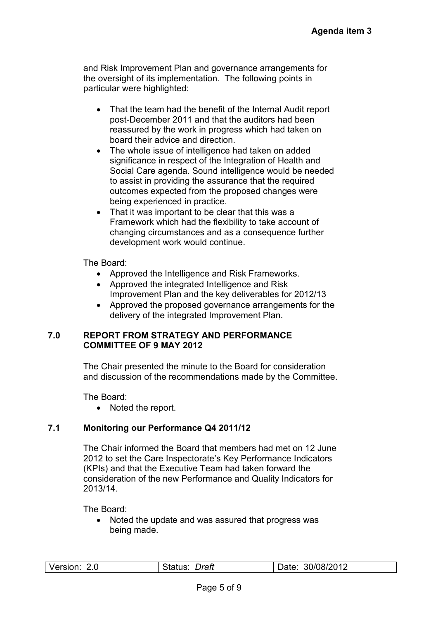and Risk Improvement Plan and governance arrangements for the oversight of its implementation. The following points in particular were highlighted:

- That the team had the benefit of the Internal Audit report post-December 2011 and that the auditors had been reassured by the work in progress which had taken on board their advice and direction.
- The whole issue of intelligence had taken on added significance in respect of the Integration of Health and Social Care agenda. Sound intelligence would be needed to assist in providing the assurance that the required outcomes expected from the proposed changes were being experienced in practice.
- That it was important to be clear that this was a Framework which had the flexibility to take account of changing circumstances and as a consequence further development work would continue.

The Board:

- Approved the Intelligence and Risk Frameworks.
- Approved the integrated Intelligence and Risk Improvement Plan and the key deliverables for 2012/13
- Approved the proposed governance arrangements for the delivery of the integrated Improvement Plan.

#### **7.0 REPORT FROM STRATEGY AND PERFORMANCE COMMITTEE OF 9 MAY 2012**

The Chair presented the minute to the Board for consideration and discussion of the recommendations made by the Committee.

The Board:

• Noted the report.

# **7.1 Monitoring our Performance Q4 2011/12**

The Chair informed the Board that members had met on 12 June 2012 to set the Care Inspectorate's Key Performance Indicators (KPIs) and that the Executive Team had taken forward the consideration of the new Performance and Quality Indicators for 2013/14.

The Board:

• Noted the update and was assured that progress was being made.

| Version: | Draft<br>Status: | : 30/08/2012<br>Date: |
|----------|------------------|-----------------------|
|          |                  |                       |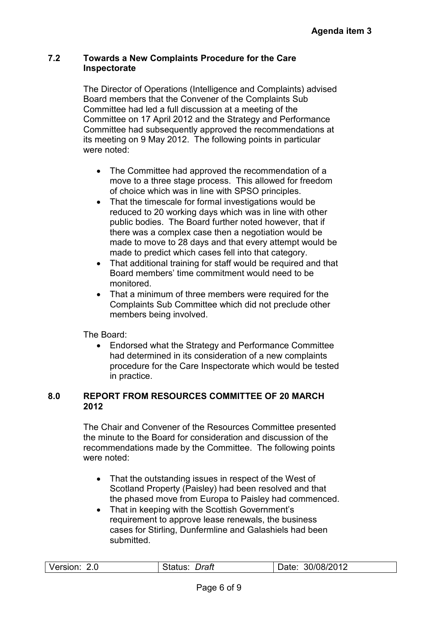#### **7.2 Towards a New Complaints Procedure for the Care Inspectorate**

The Director of Operations (Intelligence and Complaints) advised Board members that the Convener of the Complaints Sub Committee had led a full discussion at a meeting of the Committee on 17 April 2012 and the Strategy and Performance Committee had subsequently approved the recommendations at its meeting on 9 May 2012. The following points in particular were noted:

- The Committee had approved the recommendation of a move to a three stage process. This allowed for freedom of choice which was in line with SPSO principles.
- That the timescale for formal investigations would be reduced to 20 working days which was in line with other public bodies. The Board further noted however, that if there was a complex case then a negotiation would be made to move to 28 days and that every attempt would be made to predict which cases fell into that category.
- That additional training for staff would be required and that Board members' time commitment would need to be monitored.
- That a minimum of three members were required for the Complaints Sub Committee which did not preclude other members being involved.

The Board:

• Endorsed what the Strategy and Performance Committee had determined in its consideration of a new complaints procedure for the Care Inspectorate which would be tested in practice.

#### **8.0 REPORT FROM RESOURCES COMMITTEE OF 20 MARCH 2012**

The Chair and Convener of the Resources Committee presented the minute to the Board for consideration and discussion of the recommendations made by the Committee. The following points were noted:

- That the outstanding issues in respect of the West of Scotland Property (Paisley) had been resolved and that the phased move from Europa to Paisley had commenced.
- That in keeping with the Scottish Government's requirement to approve lease renewals, the business cases for Stirling, Dunfermline and Galashiels had been submitted.

| Version: | Draft          | 30/08/2012 |
|----------|----------------|------------|
| 2.0      | <b>S</b> idlus | Date:      |
|          |                |            |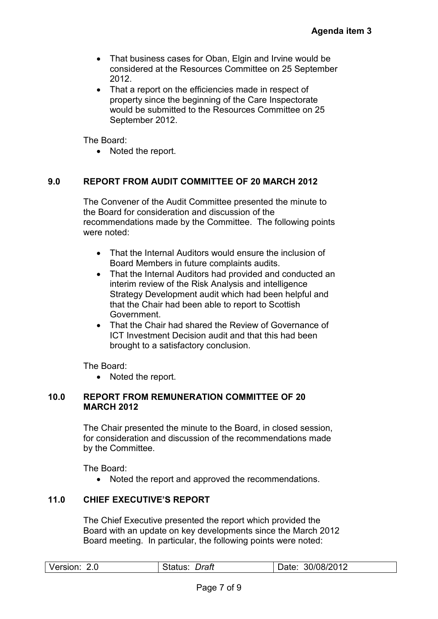- That business cases for Oban, Elgin and Irvine would be considered at the Resources Committee on 25 September 2012.
- That a report on the efficiencies made in respect of property since the beginning of the Care Inspectorate would be submitted to the Resources Committee on 25 September 2012.

The Board:

• Noted the report.

# **9.0 REPORT FROM AUDIT COMMITTEE OF 20 MARCH 2012**

The Convener of the Audit Committee presented the minute to the Board for consideration and discussion of the recommendations made by the Committee. The following points were noted:

- That the Internal Auditors would ensure the inclusion of Board Members in future complaints audits.
- That the Internal Auditors had provided and conducted an interim review of the Risk Analysis and intelligence Strategy Development audit which had been helpful and that the Chair had been able to report to Scottish Government.
- That the Chair had shared the Review of Governance of ICT Investment Decision audit and that this had been brought to a satisfactory conclusion.

The Board:

• Noted the report.

#### **10.0 REPORT FROM REMUNERATION COMMITTEE OF 20 MARCH 2012**

The Chair presented the minute to the Board, in closed session, for consideration and discussion of the recommendations made by the Committee.

The Board:

• Noted the report and approved the recommendations.

#### **11.0 CHIEF EXECUTIVE'S REPORT**

The Chief Executive presented the report which provided the Board with an update on key developments since the March 2012 Board meeting. In particular, the following points were noted:

|  | Version: 2.0 | Draft<br>Status: | 30/08/2012<br>Date: |
|--|--------------|------------------|---------------------|
|--|--------------|------------------|---------------------|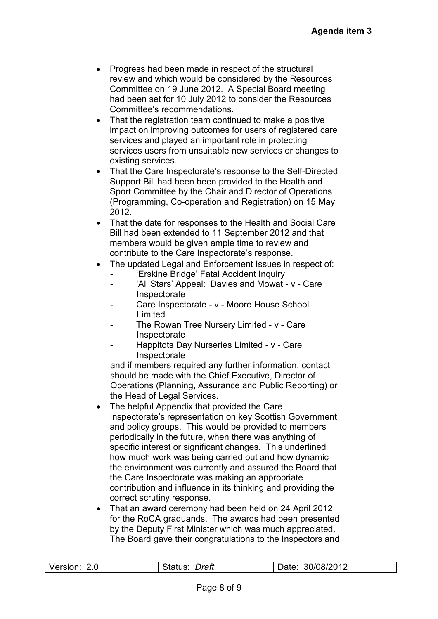- Progress had been made in respect of the structural review and which would be considered by the Resources Committee on 19 June 2012. A Special Board meeting had been set for 10 July 2012 to consider the Resources Committee's recommendations.
- That the registration team continued to make a positive impact on improving outcomes for users of registered care services and played an important role in protecting services users from unsuitable new services or changes to existing services.
- That the Care Inspectorate's response to the Self-Directed Support Bill had been been provided to the Health and Sport Committee by the Chair and Director of Operations (Programming, Co-operation and Registration) on 15 May 2012.
- That the date for responses to the Health and Social Care Bill had been extended to 11 September 2012 and that members would be given ample time to review and contribute to the Care Inspectorate's response.
- The updated Legal and Enforcement Issues in respect of:
	- 'Erskine Bridge' Fatal Accident Inquiry
	- 'All Stars' Appeal: Davies and Mowat v Care Inspectorate
	- Care Inspectorate v Moore House School Limited
	- The Rowan Tree Nursery Limited v Care Inspectorate
	- Happitots Day Nurseries Limited v Care Inspectorate

and if members required any further information, contact should be made with the Chief Executive, Director of Operations (Planning, Assurance and Public Reporting) or the Head of Legal Services.

- The helpful Appendix that provided the Care Inspectorate's representation on key Scottish Government and policy groups. This would be provided to members periodically in the future, when there was anything of specific interest or significant changes. This underlined how much work was being carried out and how dynamic the environment was currently and assured the Board that the Care Inspectorate was making an appropriate contribution and influence in its thinking and providing the correct scrutiny response.
- That an award ceremony had been held on 24 April 2012 for the RoCA graduands. The awards had been presented by the Deputy First Minister which was much appreciated. The Board gave their congratulations to the Inspectors and

| Version: | Draft   | : 30/08/2012 |
|----------|---------|--------------|
| 2.0      | Status: | Date:        |
|          |         |              |